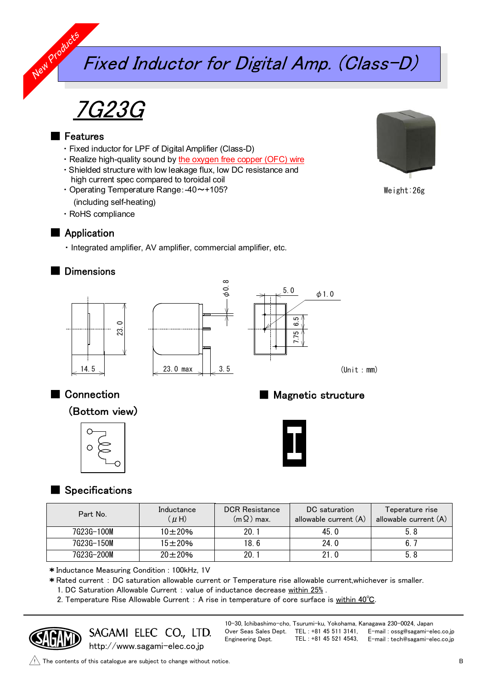# Fixed Inductor for Digital Amp. (Class-D)

7G23G

#### **Features**

New Products

- ・Fixed inductor for LPF of Digital Amplifier (Class-D)
- ・Realize high-quality sound by the oxygen free copper (OFC) wire
- ・Shielded structure with low leakage flux, low DC resistance and high current spec compared to toroidal coil
- ・Operating Temperature Range:-40~+105? (including self-heating)
- ・RoHS compliance

## Application

・ Integrated amplifier, AV amplifier, commercial amplifier, etc.

# Dimensions









Weight:26g

(Unit:mm)

# Connection

(Bottom view)



## **Magnetic structure**



Specifications

| Part No.   | Inductance<br>$(\mu H)$ | <b>DCR Resistance</b><br>$(m \Omega)$ max. | DC saturation<br>allowable current (A) | Teperature rise<br>allowable current (A) |
|------------|-------------------------|--------------------------------------------|----------------------------------------|------------------------------------------|
| 7G23G-100M | $10 + 20%$              | 20.1                                       | 45.0                                   | 5.8                                      |
| 7G23G-150M | $15 + 20%$              | 18.6                                       | 24.0                                   | 6.                                       |
| 7G23G-200M | $20 \pm 20\%$           | 20.                                        | 21.0                                   | 5.8                                      |

Inductance Measuring Condition : 100kHz, 1V

Rated current : DC saturation allowable current or Temperature rise allowable current,whichever is smaller.

- 1. DC Saturation Allowable Current : value of inductance decrease within 25% .
- 2. Temperature Rise Allowable Current : A rise in temperature of core surface is within 40℃.



SAGAMI ELEC CO., LTD. http://www.sagami-elec.co.jp

10-30, Ichibashimo-cho, Tsurumi-ku, Yokohama, Kanagawa 230-0024, Japan Over Seas Sales Dept. TEL: +81 45 511 3141, Engineering Dept. TEL : +81 45 521 4543, E-mail : tech@sagami-elec.co.jp E-mail : ossg@sagami-elec.co.jp

 $\sqrt{N}$  The contents of this catalogue are subject to change without notice.